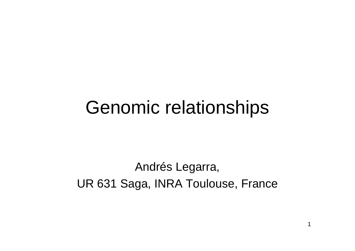#### Genomic relationships

#### Andrés Legarra, UR 631 Saga, INRA Toulouse, France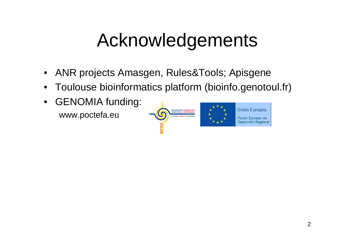### Acknowledgements

- $\bullet$ ANR projects Amasgen, Rules&Tools; Apisgene
- •Toulouse bioinformatics platform (bioinfo.genotoul.fr)
- $\bullet$  GENOMIA funding: www.poctefa.eu

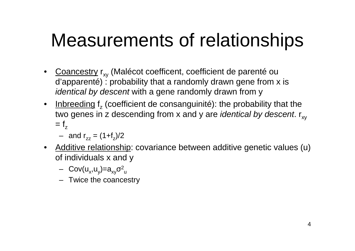- •Coancestry r<sub>xy</sub> (Malécot coefficent, coefficient de parenté ou d'apparenté) : probability that a randomly drawn gene from x isidentical by descent with a gene randomly drawn from y
- Inbreeding  $f_z$  (coefficient de consanguinité): the probability that the two genes in z descending from x and y are *identical by descent*. r<sub>xy</sub>  $=$   $f_{z}$ 
	- $-$  and  $r_{zz} = (1 + f_z)/2$
- Additive relationship: covariance between additive genetic values (u) of individuals x and y
	- Cov(u<sub>x</sub>,u<sub>y</sub>)=a<sub>xy</sub>σ<sup>2</sup><sub>u</sub>
	- Twice the coancestry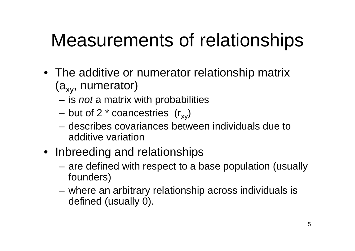- The additive or numerator relationship matrix $(a_{xy},$  numerator)
	- **Links of the Common** is *not* a matrix with probabilities
	- and the state of the but of 2  $*$  coancestries  $(r_{xy})$
	- – describes covariances between individuals due to additive variation
- Inbreeding and relationships
	- **Links of the Common**  are defined with respect to a base population (usuallyfounders)
	- and the state of the where an arbitrary relationship across individuals isdefined (usually 0).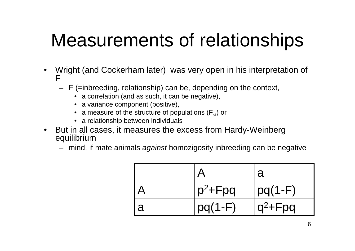- • Wright (and Cockerham later) was very open in his interpretation of F
	- F (=inbreeding, relationship) can be, depending on the context,
		- a correlation (and as such, it can be negative),
		- a variance component (positive),
		- a measure of the structure of populations ( $\mathsf{F}_{\text{st}}$ ) or
		- a relationship between individuals
- But in all cases, it measures the excess from Hardy-Weinberg equilibrium
	- mind, if mate animals *against* homozigosity inbreeding can be negative

|   |             | a           |
|---|-------------|-------------|
|   | $p^2 + Fpq$ | $ pq(1-F) $ |
| a | $pq(1-F)$   | $q^2 + Fpq$ |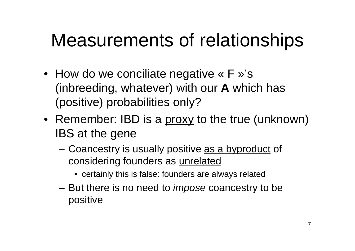- How do we conciliate negative « F »'s (inbreeding, whatever) with our**A** which has (positive) probabilities only?
- Remember: IBD is a proxy to the true (unknown) IBS at the gene
	- –Coancestry is usually positive as a byproduct of considering founders as unrelated
		- certainly this is false: founders are always related
	- **Links of the Company** But there is no need to *impose* coancestry to be positive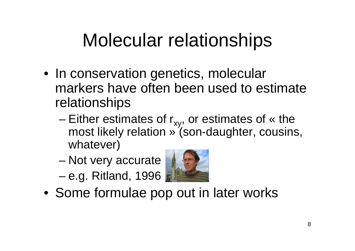## Molecular relationships

- In conservation genetics, molecular markers have often been used to estimaterelationships
	- and the state of the state Either estimates of  $r_{xy}$ , or estimates of « the most likely relation » (son-daughter, cousins, whatever)
	- and the state of the state Not very accurate
	- –e.g. Ritland, 1996



• Some formulae pop out in later works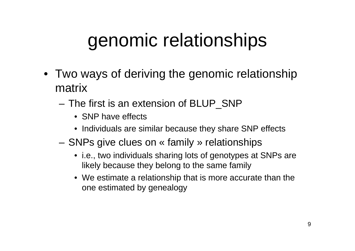### genomic relationships

- Two ways of deriving the genomic relationshipmatrix
	- and the state of the The first is an extension of BLUP\_SNP
		- SNP have effects
		- Individuals are similar because they share SNP effects
	- **Links of the Company**  SNPs give clues on « family » relationships
		- i.e., two individuals sharing lots of genotypes at SNPs are likely because they belong to the same family
		- We estimate a relationship that is more accurate than theone estimated by genealogy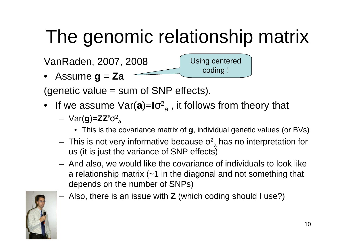# The genomic relationship matrix

VanRaden, 2007, 2008

• Assume **g** = **Za**

(genetic value = sum of SNP effects).

- If we assume Var(**a**)=**I**σ2 a $_{\sf a}$  , it follows from theory that
	- – Var(**g**)=**ZZ'**σ2 a
		- This is the covariance matrix of **g**, individual genetic values (or BVs)

Using centered

coding !

- –This is not very informative because  $\sigma^2$  us (it is just the variance of SNP effects) $\mathbf{a}_{\mathbf{a}}^2$  has no interpretation for
- – And also, we would like the covariance of individuals to look like a relationship matrix (~1 in the diagonal and not something that depends on the number of SNPs)
- –Also, there is an issue with**Z** (which coding should I use?)

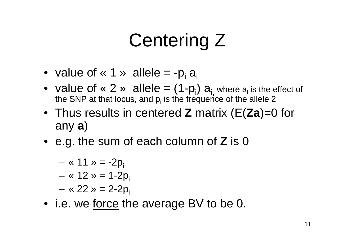## Centering Z

- value of « 1 » allele = -p  $a_i$
- value of « 2 » allele =  $(1-p_i)$   $a_{i,j}$  where  $a_i$  is the effect of the SNP at that locus, and  $p_i$  is the frequence of the allele 2
- Thus results in centered **<sup>Z</sup>** matrix (E(**Za**)=0 for any **<sup>a</sup>**)
- e.g. the sum of each column of **Z** is <sup>0</sup>

$$
- 8 11 \times -2p_i
$$

$$
- \cdot 12 \cdot 12 = 1-2p_i
$$

- **Links of the Company** « 22 » = 2-2 $p_i$
- i.e. we <u>force</u> the average BV to be 0.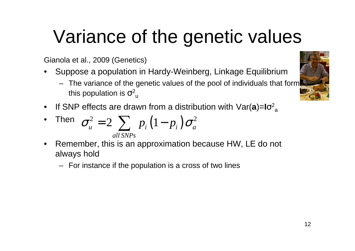# Variance of the genetic values

Gianola et al., 2009 (Genetics)

- • Suppose a population in Hardy-Weinberg, Linkage Equilibrium
	- The variance of the genetic values of the pool of individuals that formthis population is  $\sigma^2$ u
- $\bullet$  If SNP effects are drawn from a distribution with Var(**a**)=**I**σ2a

• Then 
$$
\sigma_u^2 = 2 \sum_{all SNPs} p_i (1 - p_i) \sigma_a^2
$$

- $\bullet$  Remember, this is an approximation because HW, LE do not always hold
	- For instance if the population is a cross of two lines

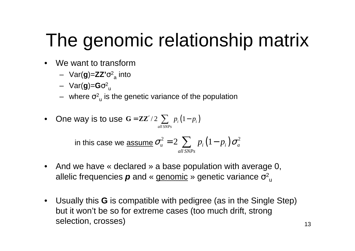# The genomic relationship matrix

- • We want to transform
	- Var(**g**)=**ZZ'**σ2 a into
	- Var(**g**)=**G**σ2 u
	- $\sim$   $\sim$   $\sim$  $-$  where  $\sigma^2_{\;\;u}$  is the genetic variance of the population
- $\bullet$ One way is to use  $G = \mathbb{Z}\mathbb{Z}' / 2 \sum_{all SNPs} p_i (1 - p_i)$ *all SNPs*

in this case we assume 
$$
\sigma_u^2 = 2 \sum_{all \text{ }SNPs} p_i (1 - p_i) \sigma_a^2
$$

- And we have « declared » a base population with average 0, allelic frequencies *p* and « <u>genomic</u> » genetic variance σ<sup>2</sup> u
- Usually this**G** is compatible with pedigree (as in the Single Step) but it won't be so for extreme cases (too much drift, strongselection, crosses)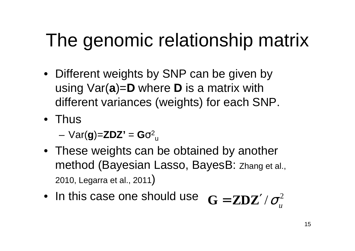### The genomic relationship matrix

- Different weights by SNP can be given by using Var(**a**)=**D** where**D** is a matrix with different variances (weights) for each SNP.
- Thus

**Links of the Company**  $Var(g)=ZDZ' = G\sigma^2$ u

- These weights can be obtained by anothermethod (Bayesian Lasso, BayesB: Zhang et al., 2010, Legarra et al., 2011)
- In this case one should use2 $G = \mathbf{Z}\mathbf{D}\mathbf{Z}'/\sigma_u^2$ ′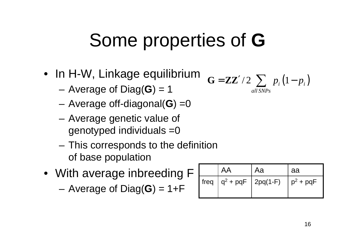## Some properties of **G**

- In H-W, Linkage equilibrium
	- **Links of the Company** Average of Diag(**G**) = 1
	- –Average off-diagonal(**G**) =0
	- **Links of the Company**  Average genetic value of genotyped individuals =0
	- – This corresponds to the definitionof base population
- With average inbreeding F

**Links of the Company** Average of Diag(**G**) = 1+F

$$
\mathbf{G} = \mathbf{ZZ'} / 2 \sum_{all \text{ SNPs}} p_i (1 - p_i)
$$

|                             | Aa | aa          |
|-----------------------------|----|-------------|
| freq $ q^2 + pqF $ 2pq(1-F) |    | $p^2$ + pqF |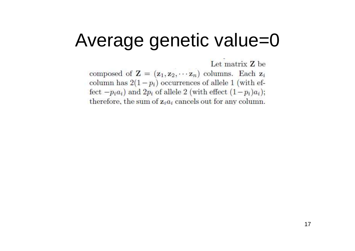#### Average genetic value=0

Let matrix Z be composed of  $\mathbf{Z} = (\mathbf{z}_1, \mathbf{z}_2, \cdots, \mathbf{z}_n)$  columns. Each  $\mathbf{z}_i$ column has  $2(1-p_i)$  occurrences of allele 1 (with effect  $-p_i a_i$ ) and  $2p_i$  of allele 2 (with effect  $(1-p_i)a_i$ ); therefore, the sum of  $z_ia_i$  cancels out for any column.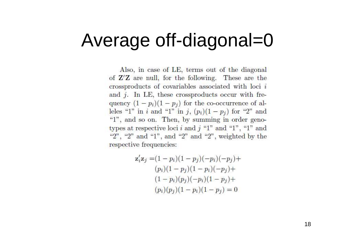#### Average off-diagonal=0

Also, in case of LE, terms out of the diagonal of  $Z'Z$  are null, for the following. These are the crossproducts of covariables associated with loci i and  $j$ . In LE, these crossproducts occur with frequency  $(1-p_i)(1-p_j)$  for the co-occurrence of alleles "1" in *i* and "1" in *j*,  $(p_i)(1 - p_j)$  for "2" and "1", and so on. Then, by summing in order genotypes at respective loci i and j "1" and "1", "1" and "2", "2" and "1", and "2" and "2", weighted by the respective frequencies:

$$
\mathbf{z}'_i \mathbf{z}_j = (1 - p_i)(1 - p_j)(-p_i)(-p_j) +
$$
  
\n
$$
(p_i)(1 - p_j)(1 - p_i)(-p_j) +
$$
  
\n
$$
(1 - p_i)(p_j)(-p_i)(1 - p_j) +
$$
  
\n
$$
(p_i)(p_j)(1 - p_i)(1 - p_j) = 0
$$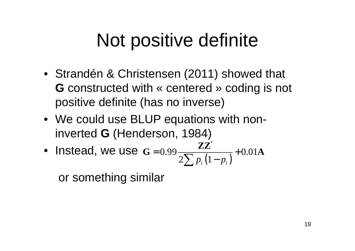### Not positive definite

- Strandén & Christensen (2011) showed that **G** constructed with « centered » coding is not **constructed with « centered » coding is not** positive definite (has no inverse)
- We could use BLUP equations with noninverted**G** (Henderson, 1984)
- Instead, we use $\mathbf{G} = 0.99 \frac{1}{2 \sum p_i (1 - p_i)} + 0.01$ ′ $= 0.99 \frac{1}{2} \sqrt{\frac{n(1-n)}{n-1}}$ ∑ $G = 0.99 \frac{ZZ'}{2\sum p_i (1-p_i)} + 0.01A$

or something similar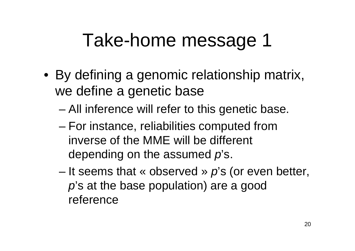#### Take-home message 1

- By defining a genomic relationship matrix, we define a genetic base
	- and the state of the state All inference will refer to this genetic base.
	- – For instance, reliabilities computed frominverse of the MME will be different depending on the assumed  $\rho$ 's.
	- and the state of the state It seems that  $\kappa$  observed  $\nu$  p's (or even better,  $\rho$ 's at the base population) are a good reference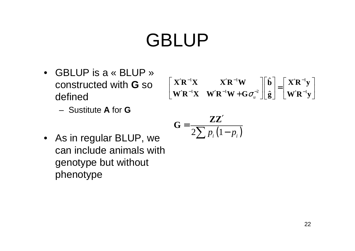- GBLUP is a « BLUP » constructed with **<sup>G</sup>** so defined
	- –Sustitute **<sup>A</sup>** for **<sup>G</sup>**

$$
\begin{bmatrix} \mathbf{X}'\mathbf{R}^{-1}\mathbf{X} & \mathbf{X}'\mathbf{R}^{-1}\mathbf{W} \\ \mathbf{W}'\mathbf{R}^{-1}\mathbf{X} & \mathbf{W}'\mathbf{R}^{-1}\mathbf{W} + \mathbf{G}\sigma_u^{-2} \end{bmatrix} \begin{bmatrix} \hat{\mathbf{b}} \\ \hat{\mathbf{g}} \end{bmatrix} = \begin{bmatrix} \mathbf{X}'\mathbf{R}^{-1}\mathbf{y} \\ \mathbf{W}'\mathbf{R}^{-1}\mathbf{y} \end{bmatrix}
$$

$$
\mathbf{G} = \frac{\mathbf{ZZ}'}{2\sum p_i (1-p_i)}
$$

• As in regular BLUP, we can include animals withgenotype but without phenotype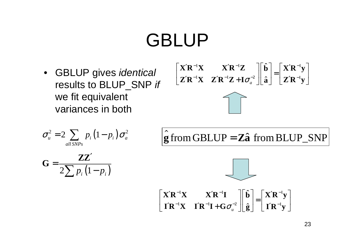• GBLUP gives identical results to BLUP\_SNP if we fit equivalent variances in both

$$
\begin{bmatrix} \mathbf{X}'\mathbf{R}^{-1}\mathbf{X} & \mathbf{X}'\mathbf{R}^{-1}\mathbf{Z} \\ \mathbf{Z}'\mathbf{R}^{-1}\mathbf{X} & \mathbf{Z}'\mathbf{R}^{-1}\mathbf{Z} + \mathbf{I}\sigma_a^{-2} \end{bmatrix} \begin{bmatrix} \hat{\mathbf{b}} \\ \hat{\mathbf{a}} \end{bmatrix} = \begin{bmatrix} \mathbf{X}'\mathbf{R}^{-1}\mathbf{y} \\ \mathbf{Z}'\mathbf{R}^{-1}\mathbf{y} \end{bmatrix}
$$



$$
\sigma_u^2 = 2 \sum_{all \text{SNPs}} p_i (1-p_i) \sigma_a^2
$$

$$
\mathbf{G} = \frac{\mathbf{ZZ}'}{2\sum p_i (1-p_i)}
$$

$$
\hat{\mathbf{g}} \text{ from GBLUP} = \mathbf{Z}\hat{\mathbf{a}} \text{ from BLUP\_SNP}
$$

$$
\bigcup_{\mathcal{A}}\mathcal{A}
$$

$$
\begin{bmatrix} \mathbf{X}'\mathbf{R}^{-1}\mathbf{X} & \mathbf{X}'\mathbf{R}^{-1}\mathbf{I} \\ \mathbf{I}'\mathbf{R}^{-1}\mathbf{X} & \mathbf{I}'\mathbf{R}^{-1}\mathbf{I} + \mathbf{G}\sigma_u^{-2} \end{bmatrix} \begin{bmatrix} \hat{\mathbf{b}} \\ \hat{\mathbf{g}} \end{bmatrix} = \begin{bmatrix} \mathbf{X}'\mathbf{R}^{-1}\mathbf{y} \\ \mathbf{I}'\mathbf{R}^{-1}\mathbf{y} \end{bmatrix}
$$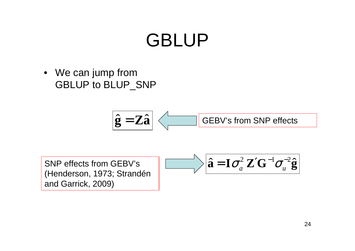• We can jump fromGBLUP to BLUP\_SNP



 $\hat{\mathbf{a}} = \mathbf{I} \boldsymbol{\sigma}_a^2 \mathbf{Z}' \mathbf{G}^{-1} \boldsymbol{\sigma}_u^{-2} \hat{\mathbf{g}}$  $\hat{\mathbf{a}} = \mathbf{I}\sigma_a^2 \mathbf{Z}'\mathbf{G}^{-1}\sigma_u^{-2}\hat{\mathbf{g}}$ 

SNP effects from GEBV's (Henderson, 1973; Strandén and Garrick, 2009)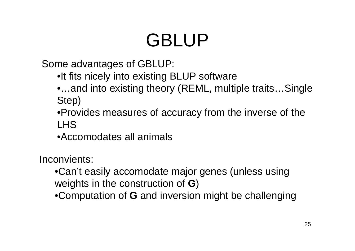Some advantages of GBLUP:

- •It fits nicely into existing BLUP software
- •…and into existing theory (REML, multiple traits…Single Step)
- •Provides measures of accuracy from the inverse of the LHS
- •Accomodates all animals

Inconvients:

- •Can't easily accomodate major genes (unless usingweights in the construction of **G**)
- •Computation of **G** and inversion might be challenging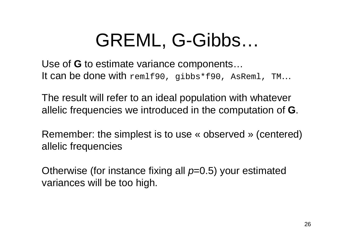### GREML, G-Gibbs…

 Use of **G** to estimate variance components…**It can be done with** rem1f90, gibbs\*f90, AsRem1, TM …

The result will refer to an ideal population with whateverallelic frequencies we introduced in the computation of **G**.

Remember: the simplest is to use « observed » (centered)allelic frequencies

Otherwise (for instance fixing all  $\rho \text{=}$ 0.5) your estimated variances will be too high.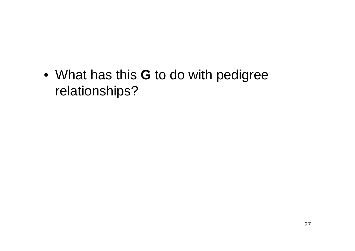• What has this **<sup>G</sup>** to do with pedigree relationships?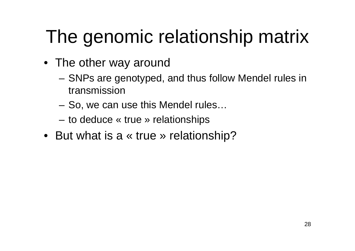# The genomic relationship matrix

- The other way around
	- **Links of the Company**  SNPs are genotyped, and thus follow Mendel rules in transmission
	- –So, we can use this Mendel rules…
	- **Links of the Company** to deduce « true » relationships
- But what is a « true » relationship?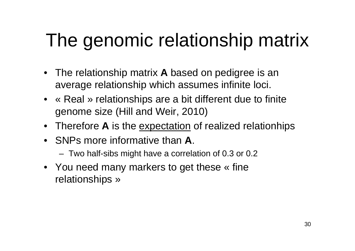## The genomic relationship matrix

- The relationship matrix**A** based on pedigree is an average relationship which assumes infinite loci.
- « Real » relationships are a bit different due to finitegenome size (Hill and Weir, 2010)
- Therefore**A** is the expectation of realized relationhips
- SNPs more informative than**A**.
	- –Two half-sibs might have a correlation of 0.3 or 0.2
- You need many markers to get these « fine relationships »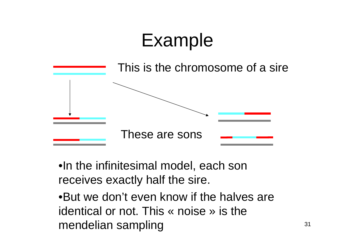## Example



- •In the infinitesimal model, each son receives exactly half the sire.
- •But we don't even know if the halves are identical or not. This « noise » is the mendelian sampling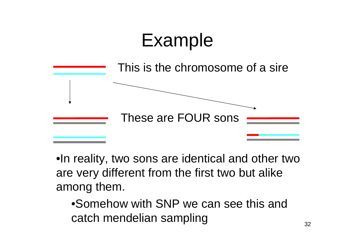# Example



•In reality, two sons are identical and other twoare very different from the first two but alikeamong them.

•Somehow with SNP we can see this and catch mendelian sampling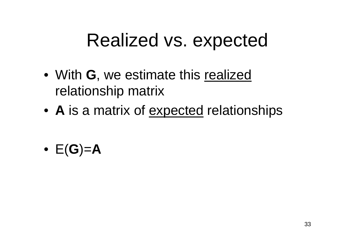#### Realized vs. expected

- With**G**, we estimate this realizedrelationship matrix
- •**A** is a matrix of expected relationships
- E(**G**)=**A**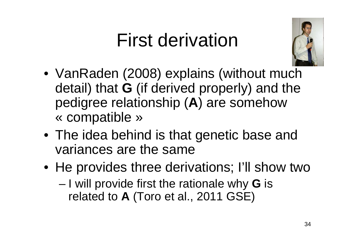## First derivation



- VanRaden (2008) explains (without muchdetail) that **G** (if derived properly) and the<br>pediaree relationship (A) are somehow pedigree relationship (**A**) are somehow« compatible »
- The idea behind is that genetic base and variances are the same
- He provides three derivations; I'll show two
	- –I will provide first the rationale why **G** is<br>related to A (Tore at al. 2011 GSE) related to **A** (Toro et al., 2011 GSE)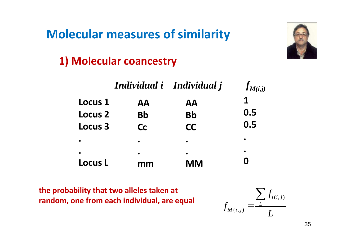#### **Molecular measures of similarity**



#### **1) Molecular coancestry**

|                |           | Individual i Individual j | $f_{M(i,j)}$ |
|----------------|-----------|---------------------------|--------------|
| <b>Locus 1</b> | <b>AA</b> | <b>AA</b>                 |              |
| <b>Locus 2</b> | <b>Bb</b> | <b>Bb</b>                 | 0.5          |
| <b>Locus 3</b> | <b>Cc</b> | <b>CC</b>                 | 0.5          |
|                | $\bullet$ | $\bullet$                 |              |
| <b>Locus L</b> | mm        | $\bullet$<br><b>MM</b>    | $\bullet$    |

**the probability that two alleles taken at random, one from each individual, are equal**

$$
f_{M(i,j)} = \frac{\sum_{L} f_{l(i,j)}}{L}
$$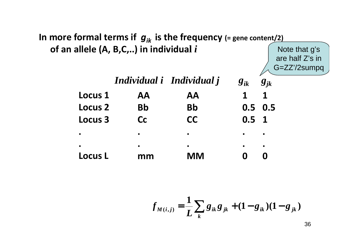

$$
f_{M(i,j)} = \frac{1}{L} \sum_{k} g_{ik} g_{jk} + (1 - g_{ik})(1 - g_{jk})
$$

36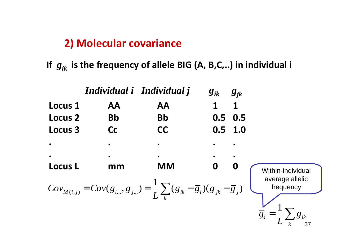#### **2) Molecular covariance**

**If***gik* **is the frequency of allele BIG (A, B,C,..) in individual i**

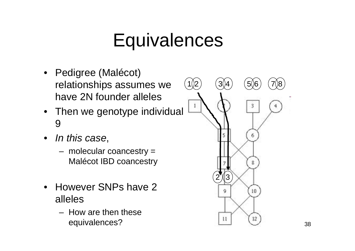#### **Equivalences**

- Pedigree (Malécot) relationships assumes we have 2N founder alleles
- Then we genotype individual 9
- In this case,
	- – molecular coancestry = Malécot IBD coancestry
- $\bullet$  However SNPs have 2 alleles
	- – How are then theseequivalences?

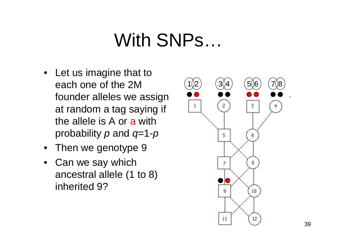#### With SNPs…

- Let us imagine that to each one of the 2M founder alleles we assign at random a tag saying if the allele is A or a with probability  $\rho$  and  $q$ =1- $\rho$
- Then we genotype 9
- Can we say which ancestral allele (1 to 8) inherited 9?

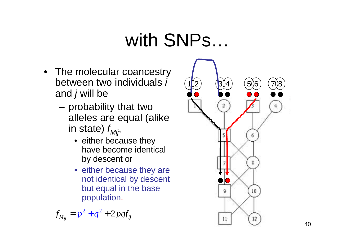## with SNPs…

- The molecular coancestry between two individuals i and  $j$  will be  $\overline{\phantom{a}}$ 
	- **Links of the Company**  probability that two alleles are equal (alike in state)  $f_{\text{Mij}}$ 
		- either because they have become identical by descent or
		- either because they are not identical by descent but equal in the base population.

 $^{2}+a^{2}+2$  $f_{M_{ij}} = p^2 + q^2 + 2pqf_{ij}$ 

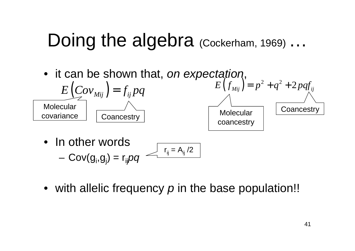#### Doing the algebrad (Cockerham, 1969) …

 $\bullet\;$  it can be shown that, *on expectation*,



- – $Cov(g_i, g_j) = r_{ij}pq$  $r_{ij} = A_{ij}/2$
- $\bullet\;$  with allelic frequency  $\rho$  in the base population!!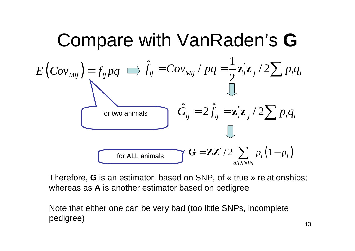

Therefore, **G** is an estimator, based on SNP, of « true » relationships; whereas as **A** is another estimator based on pedigree

Note that either one can be very bad (too little SNPs, incompletepedigree)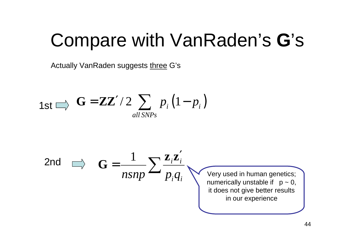## Compare with VanRaden's**G**'s

Actually VanRaden suggests <u>three</u> G's

$$
\mathbf{1st} \Longrightarrow \mathbf{G} = \mathbf{ZZ'} / 2 \sum_{all \text{SNPs}} p_i (1-p_i)
$$

2nd 
$$
G = \frac{1}{nsnp} \sum \frac{z_i z'_i}{p_i q_i}
$$
 Very used in human genetics;  
numerically unstable if p ~ 0,  
it does not give better results  
in our experience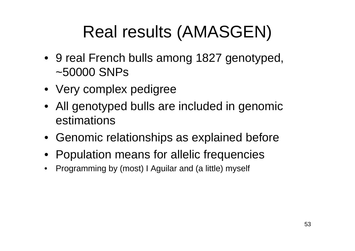#### Real results (AMASGEN)

- 9 real French bulls among 1827 genotyped, ~50000 SNPs
- Very complex pedigree
- All genotyped bulls are included in genomicestimations
- Genomic relationships as explained before
- Population means for allelic frequencies
- Programming by (most) I Aguilar and (a little) mysel f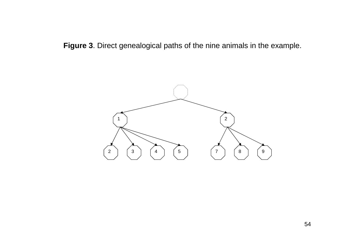**Figure 3**. Direct genealogical paths of the nine animals in the example.

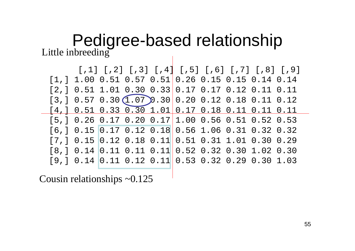#### Pedigree-based relationshipLittle inbreeding the same state is a set of the set of the set of the set of the set of the set of the set of the set of the set of the set of the set of the set of the set of the set of the set of the set of the set of t

| [,1] [,2] [,3] [,4] [,5] [,6] [,7] [,8] [,9]            |  |  |
|---------------------------------------------------------|--|--|
| $[1,]$ 1.00 0.51 0.57 0.51 0.26 0.15 0.15 0.14 0.14     |  |  |
| $[2,] 0.51 1.01 0.30 0.33 0.17 0.17 0.12 0.11 0.11$     |  |  |
| $[3,] 0.57 0.30 (1.07) 0.30   0.20 0.12 0.18 0.11 0.12$ |  |  |
| $[4,] 0.51 0.33 0.30 1.01 0.17 0.18 0.11 0.11 0.11$     |  |  |
| $[5,]$ 0.26 0.17 0.20 0.17 1.00 0.56 0.51 0.52 0.53     |  |  |
| $[6,] 0.15 0.17 0.12 0.18 0.56 1.06 0.31 0.32 0.32$     |  |  |
| $[7,] 0.15 0.12 0.18 0.11 0.51 0.31 1.01 0.30 0.29$     |  |  |
| $[8,] 0.14 0.11 0.11 0.11 0.52 0.32 0.30 1.02 0.30$     |  |  |
| $[9,] 0.14 0.11 0.12 0.11 0.53 0.32 0.29 0.30 1.03$     |  |  |

Cousin relationships ~0.125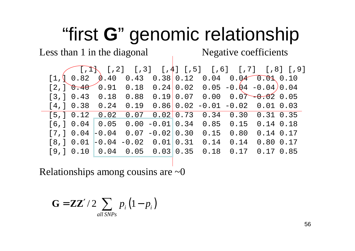# "first **G**" genomic relationship

Less than 1 in the diagonal

1 Negative coefficients

| $(1,1)$ , $[1,2]$ $[1,3]$ $[1,4]$ $[1,5]$ $[1,6]$ $[1,7]$ $[1,8]$ $[1,9]$                                  |  |  |      |                                   |             |  |
|------------------------------------------------------------------------------------------------------------|--|--|------|-----------------------------------|-------------|--|
| $[1, 0.82 \quad \emptyset.40 \quad 0.43 \quad 0.38 \quad 0.12 \quad 0.04 \quad 0.04 \quad 0.03 \quad 0.10$ |  |  |      |                                   |             |  |
| $[2,]\,$ 0.40 0.91 0.18 0.24 0.02 0.05 -0.04 -0.04 0.04                                                    |  |  |      |                                   |             |  |
| [3, ] 0.43 0.18 0.88                                                                                       |  |  |      | $0.19$ 0.07 0.00 0.07 - 0.02 0.05 |             |  |
| [4,] 0.38 0.24 0.19                                                                                        |  |  |      | $0.86$ 0.02 -0.01 -0.02 0.01 0.03 |             |  |
| $[5,] 0.12 \t 0.02 \t 0.07 \t 0.02   0.73 \t 0.34 \t 0.30 \t 0.31 0.35$                                    |  |  |      |                                   |             |  |
| $[6,] 0.04$ 0.05 0.00 -0.01 0.34 0.85 0.15 0.14 0.18                                                       |  |  |      |                                   |             |  |
| $[7,] 0.04$ -0.04 0.07 -0.02 0.30                                                                          |  |  | 0.15 | 0.80                              | $0.14$ 0.17 |  |
| $[8,] 0.01 -0.04 -0.02 0.01 0.31$                                                                          |  |  | 0.14 | 0.14                              | 0.80 0.17   |  |
| [9,] 0.10 0.04 0.05 0.03 0.35                                                                              |  |  | 0.18 | 0.17                              | 0.170.85    |  |
|                                                                                                            |  |  |      |                                   |             |  |

Relationships among cousins are  $\sim 0$ 

$$
\mathbf{G} = \mathbf{Z}\mathbf{Z}' / 2 \sum_{all \text{SNPs}} p_i (1 - p_i)
$$

56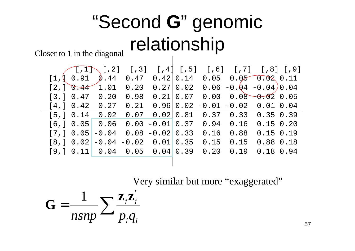## "Second **<sup>G</sup>**" genomic relationship

Closer to 1 in the diagonal

|  | $(1,1)$ [,2] [,3] [,4] [,5] [,6] [,7] [,8] [,9] |                   |             |                                          |                   |                             |  |
|--|-------------------------------------------------|-------------------|-------------|------------------------------------------|-------------------|-----------------------------|--|
|  | $[1, 0.91 \quad \emptyset.44 \quad 0.47]$       |                   | $0.42$ 0.14 |                                          |                   | $0.05$ $0.05$ $0.03$ $0.11$ |  |
|  | $[2,]\sqrt{0.44}$ 1.01                          | 0.20              |             | $0.27$ 0.02 0.06 -0.04 -0.04 0.04        |                   |                             |  |
|  | $[3, ]0.47$ 0.20                                | 0.98              |             | $0.21   0.07 0.00 0.08 - 0.02 0.05$      |                   |                             |  |
|  | [4, ] 0.42 0.27                                 |                   |             | $0.21$ $0.96$ 0.02 -0.01 -0.02 0.01 0.04 |                   |                             |  |
|  | [5,] 0.14 0.02                                  |                   |             | $0.07$ $0.02$ 0.81 0.37 0.33 0.35 0.39   |                   |                             |  |
|  | [6,] 0.05 0.06                                  |                   |             | $0.00 - 0.01 0.37 0.94 0.16$             |                   | $0.15$ 0.20                 |  |
|  | $[7,] 0.05$ -0.04 0.08 -0.02 0.33               |                   |             | 0.16                                     | 0.88              | $0.15$ 0.19                 |  |
|  | $[8, ] 0.02$ -0.04                              | $-0.02$ 0.01 0.35 |             | 0.15                                     | 0.15              | 0.880.18                    |  |
|  | $[9,] 0.11$ 0.04 0.05 0.04 0.39                 |                   |             |                                          | $0.20 \quad 0.19$ | $0.18$ 0.94                 |  |
|  |                                                 |                   |             |                                          |                   |                             |  |

Very similar but more "exaggerated"

$$
\mathbf{G} = \frac{1}{nsnp} \sum \frac{\mathbf{z}_i \mathbf{z}_i'}{p_i q_i}
$$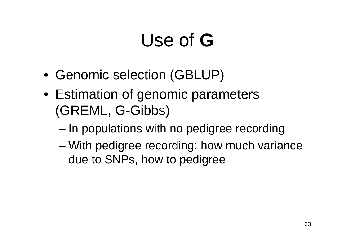# Use of **G**

- Genomic selection (GBLUP)
- Estimation of genomic parameters(GREML, G-Gibbs)
	- –In populations with no pedigree recording
	- and the state of the state With pedigree recording: how much variance due to SNPs, how to pedigree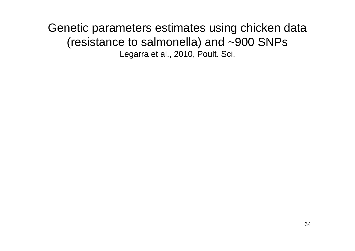Genetic parameters estimates using chicken data (resistance to salmonella) and ~900 SNPsLegarra et al., 2010, Poult. Sci.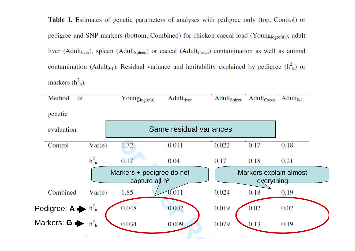Table 1. Estimates of genetic parameters of analyses with pedigree only (top, Control) or pedigree and SNP markers (bottom, Combined) for chicken caecal load (Young<sub>log(cfu)</sub>), adult liver (Adult<sub>liver</sub>), spleen (Adult<sub>Spleen</sub>) or caecal (Adult<sub>Caeca</sub>) contamination as well as animal contamination (Adult<sub>0-1</sub>). Residual variance and heritability explained by pedigree ( $h^2$ <sub>u</sub>) or markers  $(h<sup>2</sup>h)$ .

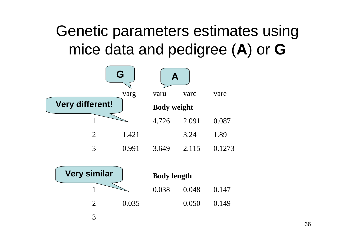#### Genetic parameters estimates usingmice data and pedigree (**A**) or **G**